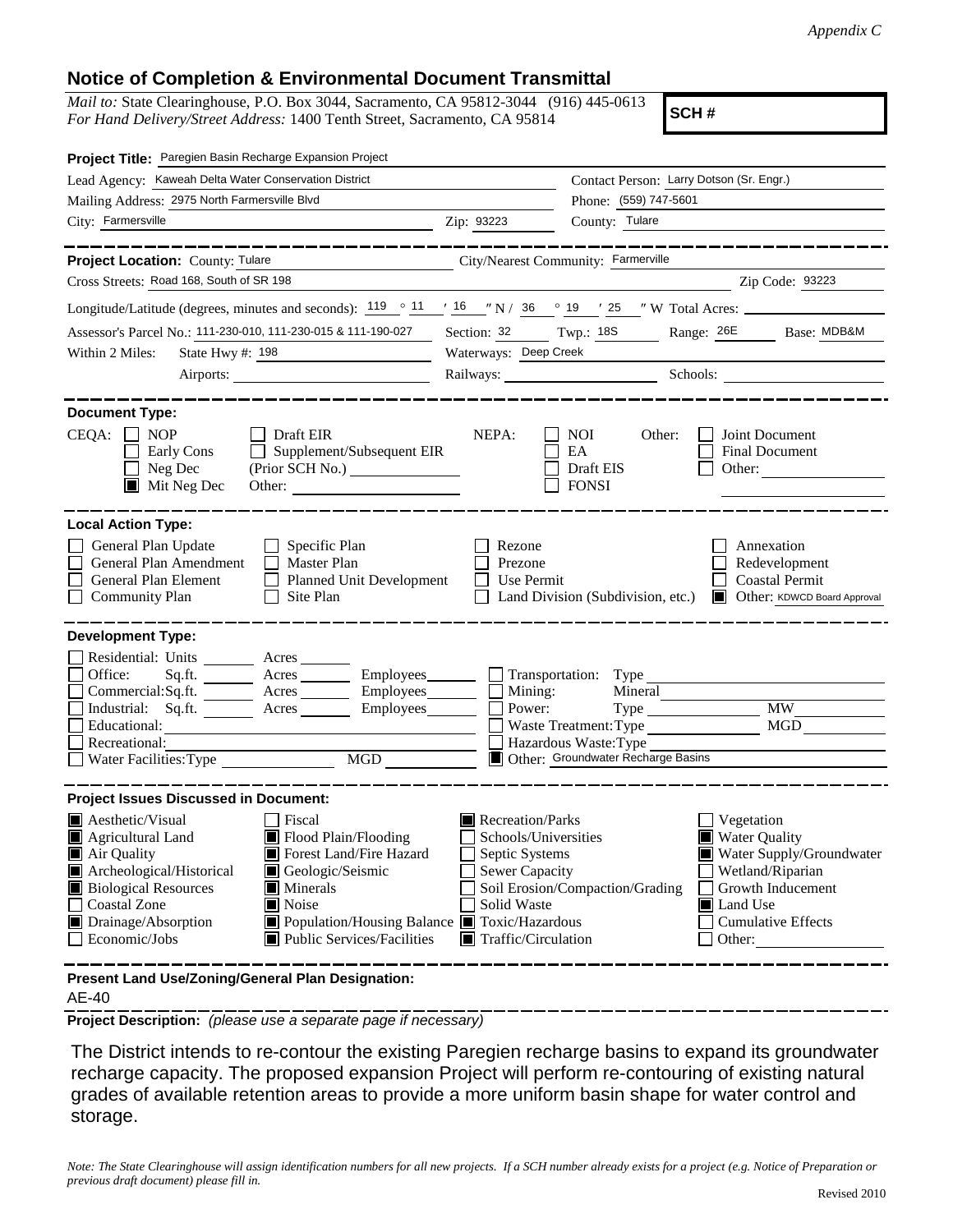## **Notice of Completion & Environmental Document Transmittal**

*Mail to:* State Clearinghouse, P.O. Box 3044, Sacramento, CA 95812-3044 (916) 445-0613 *For Hand Delivery/Street Address:* 1400 Tenth Street, Sacramento, CA 95814

**SCH #**

| Project Title: Paregien Basin Recharge Expansion Project                                                                                                                                                                                                                                                                                                                                           |                                                                                                                                          |                                                                                                                                              |                                                                                                                                                            |
|----------------------------------------------------------------------------------------------------------------------------------------------------------------------------------------------------------------------------------------------------------------------------------------------------------------------------------------------------------------------------------------------------|------------------------------------------------------------------------------------------------------------------------------------------|----------------------------------------------------------------------------------------------------------------------------------------------|------------------------------------------------------------------------------------------------------------------------------------------------------------|
| Lead Agency: Kaweah Delta Water Conservation District                                                                                                                                                                                                                                                                                                                                              |                                                                                                                                          | Contact Person: Larry Dotson (Sr. Engr.)                                                                                                     |                                                                                                                                                            |
| Mailing Address: 2975 North Farmersville Blvd                                                                                                                                                                                                                                                                                                                                                      | Phone: (559) 747-5601                                                                                                                    |                                                                                                                                              |                                                                                                                                                            |
| City: Farmersville<br><u> 1989 - Johann Barbara, martin a</u>                                                                                                                                                                                                                                                                                                                                      | Zip: 93223                                                                                                                               | County: Tulare                                                                                                                               |                                                                                                                                                            |
| __________                                                                                                                                                                                                                                                                                                                                                                                         |                                                                                                                                          |                                                                                                                                              | ----------------                                                                                                                                           |
| Project Location: County: Tulare                                                                                                                                                                                                                                                                                                                                                                   |                                                                                                                                          | City/Nearest Community: Farmerville                                                                                                          |                                                                                                                                                            |
| Cross Streets: Road 168, South of SR 198                                                                                                                                                                                                                                                                                                                                                           |                                                                                                                                          |                                                                                                                                              | Zip Code: 93223                                                                                                                                            |
| Longitude/Latitude (degrees, minutes and seconds): $\frac{119}{9}$ $\frac{11}{19}$ $\frac{16}{19}$ $\frac{116}{19}$ $\frac{116}{19}$ $\frac{116}{19}$ $\frac{116}{19}$ $\frac{116}{19}$ $\frac{116}{19}$ $\frac{116}{19}$ $\frac{116}{19}$ $\frac{116}{19}$ $\frac{116}{19}$ $\frac{$                                                                                                              |                                                                                                                                          |                                                                                                                                              |                                                                                                                                                            |
| Assessor's Parcel No.: 111-230-010, 111-230-015 & 111-190-027                                                                                                                                                                                                                                                                                                                                      | Section: 32 Twp.: 18S                                                                                                                    |                                                                                                                                              | Range: 26E Base: MDB&M                                                                                                                                     |
| Within 2 Miles:<br>State Hwy #: 198                                                                                                                                                                                                                                                                                                                                                                | Waterways: Deep Creek                                                                                                                    |                                                                                                                                              |                                                                                                                                                            |
| Airports:                                                                                                                                                                                                                                                                                                                                                                                          |                                                                                                                                          |                                                                                                                                              | Railways: Schools: Schools:                                                                                                                                |
| <b>Document Type:</b><br>CEQA:<br>$\Box$ NOP<br>$\Box$ Draft EIR<br>$\Box$ Supplement/Subsequent EIR<br>Early Cons<br>Neg Dec<br>$\blacksquare$ Mit Neg Dec<br>Other:                                                                                                                                                                                                                              | NEPA:                                                                                                                                    | NOI<br>Other:<br>EA<br>Draft EIS<br><b>FONSI</b>                                                                                             | Joint Document<br><b>Final Document</b><br>Other:                                                                                                          |
| <b>Local Action Type:</b><br>General Plan Update<br>$\Box$ Specific Plan<br>General Plan Amendment<br>Master Plan<br>$\Box$<br>General Plan Element<br>Planned Unit Development<br>$\perp$<br><b>Community Plan</b><br>Site Plan                                                                                                                                                                   | Rezone<br>Prezone<br>Use Permit                                                                                                          | Land Division (Subdivision, etc.)                                                                                                            | Annexation<br>Redevelopment<br><b>Coastal Permit</b><br>Other: KDWCD Board Approval                                                                        |
| <b>Development Type:</b>                                                                                                                                                                                                                                                                                                                                                                           |                                                                                                                                          |                                                                                                                                              |                                                                                                                                                            |
| Residential: Units ________ Acres _______<br>Office:<br>Sq.ft. ________ Acres __________ Employees________<br>Commercial:Sq.ft. ________ Acres _________ Employees_________ $\square$<br>Industrial: Sq.ft.<br>$A$ cres $\_\_$<br>Employees_______<br>Educational:<br>Recreational:<br>MGD<br>Water Facilities: Type                                                                               |                                                                                                                                          | Transportation: Type<br>Mineral<br>Mining:<br>Power:<br>Waste Treatment: Type<br>Hazardous Waste: Type<br>Other: Groundwater Recharge Basins | <b>MW</b><br><b>MGD</b>                                                                                                                                    |
| <b>Project Issues Discussed in Document:</b>                                                                                                                                                                                                                                                                                                                                                       |                                                                                                                                          |                                                                                                                                              |                                                                                                                                                            |
| <b>A</b> esthetic/Visual<br><b>Fiscal</b><br>Flood Plain/Flooding<br>Agricultural Land<br>Forest Land/Fire Hazard<br>Air Quality<br>Archeological/Historical<br>Geologic/Seismic<br><b>Biological Resources</b><br>$\blacksquare$ Minerals<br><b>Coastal Zone</b><br>Noise<br>Drainage/Absorption<br>■ Population/Housing Balance ■ Toxic/Hazardous<br>Economic/Jobs<br>Public Services/Facilities | Recreation/Parks<br>Schools/Universities<br>Septic Systems<br><b>Sewer Capacity</b><br>Solid Waste<br>$\blacksquare$ Traffic/Circulation | Soil Erosion/Compaction/Grading                                                                                                              | Vegetation<br><b>Water Quality</b><br>Water Supply/Groundwater<br>Wetland/Riparian<br>Growth Inducement<br>Land Use<br><b>Cumulative Effects</b><br>Other: |
| Present Land Use/Zoning/General Plan Designation:                                                                                                                                                                                                                                                                                                                                                  |                                                                                                                                          |                                                                                                                                              |                                                                                                                                                            |

AE-40

**Project Description:** *(please use a separate page if necessary)*

 The District intends to re-contour the existing Paregien recharge basins to expand its groundwater recharge capacity. The proposed expansion Project will perform re-contouring of existing natural grades of available retention areas to provide a more uniform basin shape for water control and storage.

*Note: The State Clearinghouse will assign identification numbers for all new projects. If a SCH number already exists for a project (e.g. Notice of Preparation or previous draft document) please fill in.*